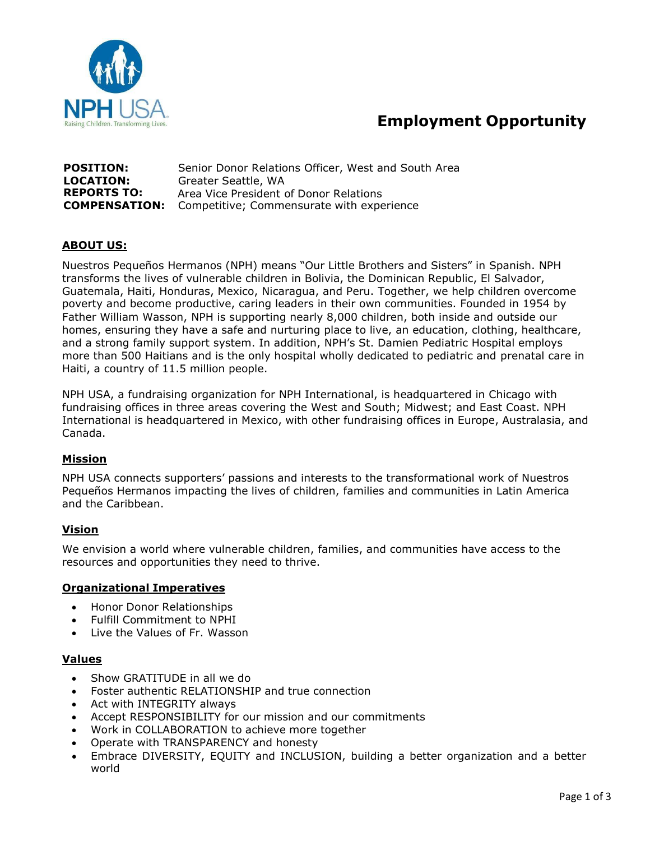

# **Employment Opportunity**

| <b>POSITION:</b>   | Senior Donor Relations Officer, West and South Area            |
|--------------------|----------------------------------------------------------------|
| <b>LOCATION:</b>   | Greater Seattle, WA                                            |
| <b>REPORTS TO:</b> | Area Vice President of Donor Relations                         |
|                    | <b>COMPENSATION:</b> Competitive; Commensurate with experience |

## **ABOUT US:**

Nuestros Pequeños Hermanos (NPH) means "Our Little Brothers and Sisters" in Spanish. NPH transforms the lives of vulnerable children in Bolivia, the Dominican Republic, El Salvador, Guatemala, Haiti, Honduras, Mexico, Nicaragua, and Peru. Together, we help children overcome poverty and become productive, caring leaders in their own communities. Founded in 1954 by Father William Wasson, NPH is supporting nearly 8,000 children, both inside and outside our homes, ensuring they have a safe and nurturing place to live, an education, clothing, healthcare, and a strong family support system. In addition, NPH's St. Damien Pediatric Hospital employs more than 500 Haitians and is the only hospital wholly dedicated to pediatric and prenatal care in Haiti, a country of 11.5 million people.

NPH USA, a fundraising organization for NPH International, is headquartered in Chicago with fundraising offices in three areas covering the West and South; Midwest; and East Coast. NPH International is headquartered in Mexico, with other fundraising offices in Europe, Australasia, and Canada.

## **Mission**

NPH USA connects supporters' passions and interests to the transformational work of Nuestros Pequeños Hermanos impacting the lives of children, families and communities in Latin America and the Caribbean.

#### **Vision**

We envision a world where vulnerable children, families, and communities have access to the resources and opportunities they need to thrive.

#### **Organizational Imperatives**

- Honor Donor Relationships
- Fulfill Commitment to NPHI
- Live the Values of Fr. Wasson

#### **Values**

- Show GRATITUDE in all we do
- Foster authentic RELATIONSHIP and true connection
- Act with INTEGRITY always
- Accept RESPONSIBILITY for our mission and our commitments
- Work in COLLABORATION to achieve more together
- Operate with TRANSPARENCY and honesty
- Embrace DIVERSITY, EQUITY and INCLUSION, building a better organization and a better world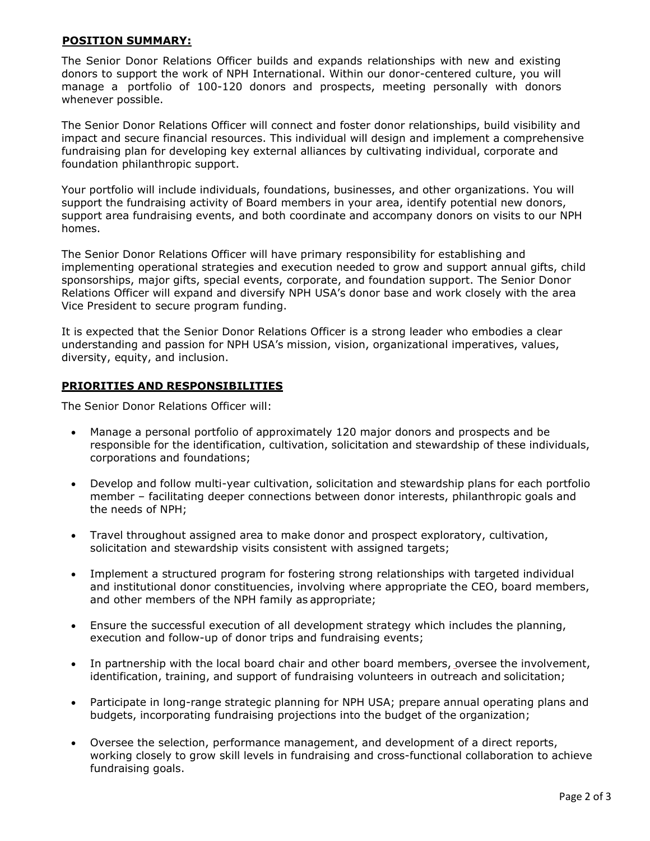## **POSITION SUMMARY:**

The Senior Donor Relations Officer builds and expands relationships with new and existing donors to support the work of NPH International. Within our donor-centered culture, you will manage a portfolio of 100-120 donors and prospects, meeting personally with donors whenever possible.

The Senior Donor Relations Officer will connect and foster donor relationships, build visibility and impact and secure financial resources. This individual will design and implement a comprehensive fundraising plan for developing key external alliances by cultivating individual, corporate and foundation philanthropic support.

Your portfolio will include individuals, foundations, businesses, and other organizations. You will support the fundraising activity of Board members in your area, identify potential new donors, support area fundraising events, and both coordinate and accompany donors on visits to our NPH homes.

The Senior Donor Relations Officer will have primary responsibility for establishing and implementing operational strategies and execution needed to grow and support annual gifts, child sponsorships, major gifts, special events, corporate, and foundation support. The Senior Donor Relations Officer will expand and diversify NPH USA's donor base and work closely with the area Vice President to secure program funding.

It is expected that the Senior Donor Relations Officer is a strong leader who embodies a clear understanding and passion for NPH USA's mission, vision, organizational imperatives, values, diversity, equity, and inclusion.

## **PRIORITIES AND RESPONSIBILITIES**

The Senior Donor Relations Officer will:

- Manage a personal portfolio of approximately 120 major donors and prospects and be responsible for the identification, cultivation, solicitation and stewardship of these individuals, corporations and foundations;
- Develop and follow multi-year cultivation, solicitation and stewardship plans for each portfolio member – facilitating deeper connections between donor interests, philanthropic goals and the needs of NPH;
- Travel throughout assigned area to make donor and prospect exploratory, cultivation, solicitation and stewardship visits consistent with assigned targets;
- Implement a structured program for fostering strong relationships with targeted individual and institutional donor constituencies, involving where appropriate the CEO, board members, and other members of the NPH family as appropriate;
- Ensure the successful execution of all development strategy which includes the planning, execution and follow-up of donor trips and fundraising events;
- In partnership with the local board chair and other board members, oversee the involvement, identification, training, and support of fundraising volunteers in outreach and solicitation;
- Participate in long-range strategic planning for NPH USA; prepare annual operating plans and budgets, incorporating fundraising projections into the budget of the organization;
- Oversee the selection, performance management, and development of a direct reports, working closely to grow skill levels in fundraising and cross-functional collaboration to achieve fundraising goals.